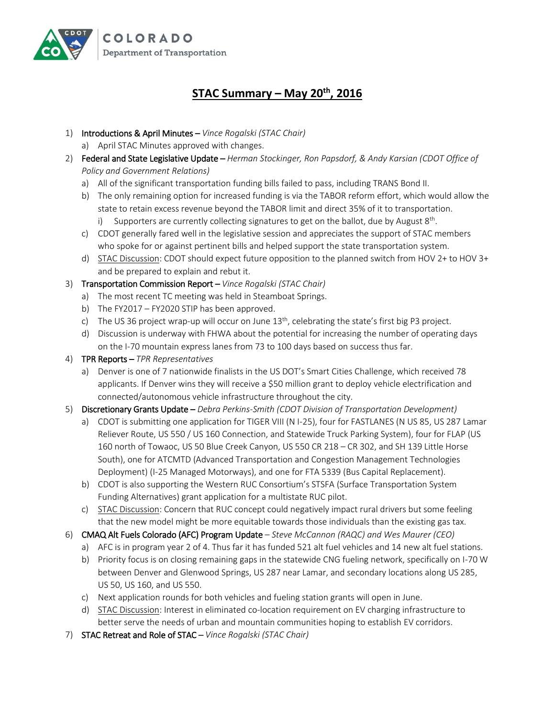

## **STAC Summary – May 20th, 2016**

- 1) Introductions & April Minutes *Vince Rogalski (STAC Chair)*
	- a) April STAC Minutes approved with changes.
- 2) Federal and State Legislative Update *Herman Stockinger, Ron Papsdorf, & Andy Karsian (CDOT Office of Policy and Government Relations)*
	- a) All of the significant transportation funding bills failed to pass, including TRANS Bond II.
	- b) The only remaining option for increased funding is via the TABOR reform effort, which would allow the state to retain excess revenue beyond the TABOR limit and direct 35% of it to transportation. i) Supporters are currently collecting signatures to get on the ballot, due by August 8<sup>th</sup>.
	- c) CDOT generally fared well in the legislative session and appreciates the support of STAC members who spoke for or against pertinent bills and helped support the state transportation system.
	- d) STAC Discussion: CDOT should expect future opposition to the planned switch from HOV 2+ to HOV 3+ and be prepared to explain and rebut it.
- 3) Transportation Commission Report *Vince Rogalski (STAC Chair)*
	- a) The most recent TC meeting was held in Steamboat Springs.
	- b) The FY2017 FY2020 STIP has been approved.
	- c) The US 36 project wrap-up will occur on June  $13<sup>th</sup>$ , celebrating the state's first big P3 project.
	- d) Discussion is underway with FHWA about the potential for increasing the number of operating days on the I-70 mountain express lanes from 73 to 100 days based on success thus far.
- 4) TPR Reports *TPR Representatives*
	- a) Denver is one of 7 nationwide finalists in the US DOT's Smart Cities Challenge, which received 78 applicants. If Denver wins they will receive a \$50 million grant to deploy vehicle electrification and connected/autonomous vehicle infrastructure throughout the city.
- 5) Discretionary Grants Update *Debra Perkins-Smith (CDOT Division of Transportation Development)*
	- a) CDOT is submitting one application for TIGER VIII (N I-25), four for FASTLANES (N US 85, US 287 Lamar Reliever Route, US 550 / US 160 Connection, and Statewide Truck Parking System), four for FLAP (US 160 north of Towaoc, US 50 Blue Creek Canyon, US 550 CR 218 – CR 302, and SH 139 Little Horse South), one for ATCMTD (Advanced Transportation and Congestion Management Technologies Deployment) (I-25 Managed Motorways), and one for FTA 5339 (Bus Capital Replacement).
	- b) CDOT is also supporting the Western RUC Consortium's STSFA (Surface Transportation System Funding Alternatives) grant application for a multistate RUC pilot.
	- c) STAC Discussion: Concern that RUC concept could negatively impact rural drivers but some feeling that the new model might be more equitable towards those individuals than the existing gas tax.
- 6) CMAQ Alt Fuels Colorado (AFC) Program Update *Steve McCannon (RAQC) and Wes Maurer (CEO)* 
	- a) AFC is in program year 2 of 4. Thus far it has funded 521 alt fuel vehicles and 14 new alt fuel stations.
	- b) Priority focus is on closing remaining gaps in the statewide CNG fueling network, specifically on I-70 W between Denver and Glenwood Springs, US 287 near Lamar, and secondary locations along US 285, US 50, US 160, and US 550.
	- c) Next application rounds for both vehicles and fueling station grants will open in June.
	- d) STAC Discussion: Interest in eliminated co-location requirement on EV charging infrastructure to better serve the needs of urban and mountain communities hoping to establish EV corridors.
- 7) STAC Retreat and Role of STAC *Vince Rogalski (STAC Chair)*